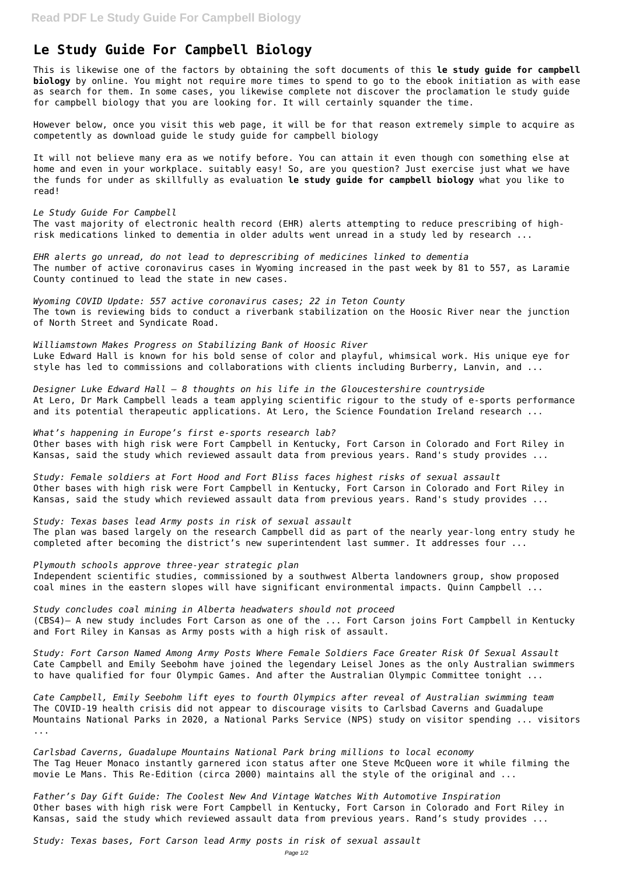## **Le Study Guide For Campbell Biology**

This is likewise one of the factors by obtaining the soft documents of this **le study guide for campbell biology** by online. You might not require more times to spend to go to the ebook initiation as with ease as search for them. In some cases, you likewise complete not discover the proclamation le study guide for campbell biology that you are looking for. It will certainly squander the time.

However below, once you visit this web page, it will be for that reason extremely simple to acquire as competently as download guide le study guide for campbell biology

It will not believe many era as we notify before. You can attain it even though con something else at home and even in your workplace. suitably easy! So, are you question? Just exercise just what we have the funds for under as skillfully as evaluation **le study guide for campbell biology** what you like to read!

*Le Study Guide For Campbell*

The vast majority of electronic health record (EHR) alerts attempting to reduce prescribing of highrisk medications linked to dementia in older adults went unread in a study led by research ...

*EHR alerts go unread, do not lead to deprescribing of medicines linked to dementia* The number of active coronavirus cases in Wyoming increased in the past week by 81 to 557, as Laramie County continued to lead the state in new cases.

*Wyoming COVID Update: 557 active coronavirus cases; 22 in Teton County* The town is reviewing bids to conduct a riverbank stabilization on the Hoosic River near the junction of North Street and Syndicate Road.

*Williamstown Makes Progress on Stabilizing Bank of Hoosic River* Luke Edward Hall is known for his bold sense of color and playful, whimsical work. His unique eye for style has led to commissions and collaborations with clients including Burberry, Lanvin, and ...

*Designer Luke Edward Hall – 8 thoughts on his life in the Gloucestershire countryside* At Lero, Dr Mark Campbell leads a team applying scientific rigour to the study of e-sports performance and its potential therapeutic applications. At Lero, the Science Foundation Ireland research ...

*What's happening in Europe's first e-sports research lab?* Other bases with high risk were Fort Campbell in Kentucky, Fort Carson in Colorado and Fort Riley in Kansas, said the study which reviewed assault data from previous years. Rand's study provides ...

*Study: Female soldiers at Fort Hood and Fort Bliss faces highest risks of sexual assault* Other bases with high risk were Fort Campbell in Kentucky, Fort Carson in Colorado and Fort Riley in Kansas, said the study which reviewed assault data from previous years. Rand's study provides ...

*Study: Texas bases lead Army posts in risk of sexual assault* The plan was based largely on the research Campbell did as part of the nearly year-long entry study he completed after becoming the district's new superintendent last summer. It addresses four ...

*Plymouth schools approve three-year strategic plan*

Independent scientific studies, commissioned by a southwest Alberta landowners group, show proposed coal mines in the eastern slopes will have significant environmental impacts. Quinn Campbell ...

*Study concludes coal mining in Alberta headwaters should not proceed* (CBS4)– A new study includes Fort Carson as one of the ... Fort Carson joins Fort Campbell in Kentucky and Fort Riley in Kansas as Army posts with a high risk of assault.

*Study: Fort Carson Named Among Army Posts Where Female Soldiers Face Greater Risk Of Sexual Assault*

Cate Campbell and Emily Seebohm have joined the legendary Leisel Jones as the only Australian swimmers to have qualified for four Olympic Games. And after the Australian Olympic Committee tonight ...

*Cate Campbell, Emily Seebohm lift eyes to fourth Olympics after reveal of Australian swimming team* The COVID-19 health crisis did not appear to discourage visits to Carlsbad Caverns and Guadalupe Mountains National Parks in 2020, a National Parks Service (NPS) study on visitor spending ... visitors ...

*Carlsbad Caverns, Guadalupe Mountains National Park bring millions to local economy* The Tag Heuer Monaco instantly garnered icon status after one Steve McQueen wore it while filming the movie Le Mans. This Re-Edition (circa 2000) maintains all the style of the original and ...

*Father's Day Gift Guide: The Coolest New And Vintage Watches With Automotive Inspiration* Other bases with high risk were Fort Campbell in Kentucky, Fort Carson in Colorado and Fort Riley in Kansas, said the study which reviewed assault data from previous years. Rand's study provides ...

*Study: Texas bases, Fort Carson lead Army posts in risk of sexual assault*